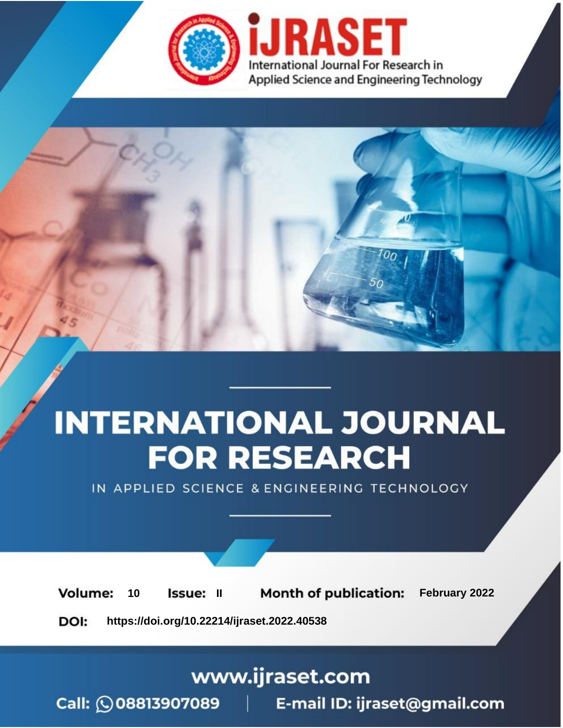

# **INTERNATIONAL JOURNAL FOR RESEARCH**

IN APPLIED SCIENCE & ENGINEERING TECHNOLOGY

**Month of publication:** February 2022 **Volume:** 10 **Issue: II** DOI: https://doi.org/10.22214/ijraset.2022.40538

www.ijraset.com

 $Call: \bigcirc$ 08813907089 E-mail ID: ijraset@gmail.com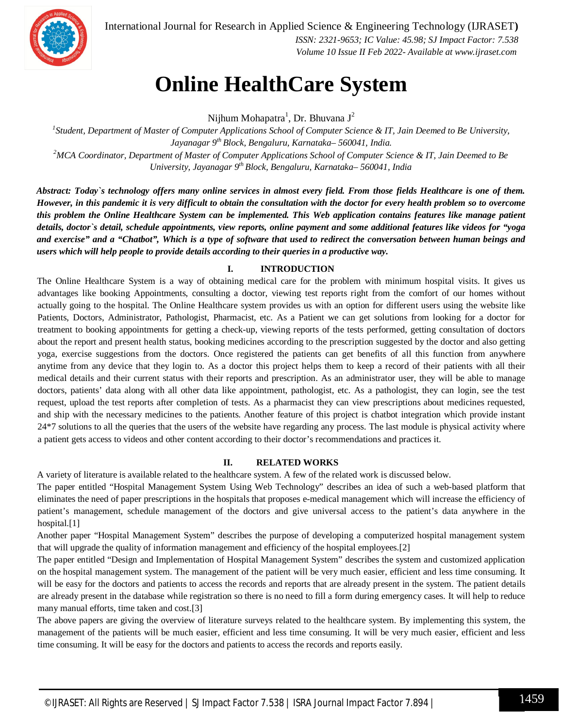

International Journal for Research in Applied Science & Engineering Technology (IJRASET**)**

 *ISSN: 2321-9653; IC Value: 45.98; SJ Impact Factor: 7.538 Volume 10 Issue II Feb 2022- Available at www.ijraset.com*

### **Online HealthCare System**

Nijhum Mohapatra<sup>1</sup>, Dr. Bhuvana J<sup>2</sup>

*1 Student, Department of Master of Computer Applications School of Computer Science & IT, Jain Deemed to Be University, Jayanagar 9th Block, Bengaluru, Karnataka– 560041, India. <sup>2</sup>MCA Coordinator, Department of Master of Computer Applications School of Computer Science & IT, Jain Deemed to Be University, Jayanagar 9th Block, Bengaluru, Karnataka– 560041, India*

*Abstract: Today`s technology offers many online services in almost every field. From those fields Healthcare is one of them. However, in this pandemic it is very difficult to obtain the consultation with the doctor for every health problem so to overcome this problem the Online Healthcare System can be implemented. This Web application contains features like manage patient details, doctor`s detail, schedule appointments, view reports, online payment and some additional features like videos for "yoga and exercise" and a "Chatbot", Which is a type of software that used to redirect the conversation between human beings and users which will help people to provide details according to their queries in a productive way.*

#### **I. INTRODUCTION**

The Online Healthcare System is a way of obtaining medical care for the problem with minimum hospital visits. It gives us advantages like booking Appointments, consulting a doctor, viewing test reports right from the comfort of our homes without actually going to the hospital. The Online Healthcare system provides us with an option for different users using the website like Patients, Doctors, Administrator, Pathologist, Pharmacist, etc. As a Patient we can get solutions from looking for a doctor for treatment to booking appointments for getting a check-up, viewing reports of the tests performed, getting consultation of doctors about the report and present health status, booking medicines according to the prescription suggested by the doctor and also getting yoga, exercise suggestions from the doctors. Once registered the patients can get benefits of all this function from anywhere anytime from any device that they login to. As a doctor this project helps them to keep a record of their patients with all their medical details and their current status with their reports and prescription. As an administrator user, they will be able to manage doctors, patients' data along with all other data like appointment, pathologist, etc. As a pathologist, they can login, see the test request, upload the test reports after completion of tests. As a pharmacist they can view prescriptions about medicines requested, and ship with the necessary medicines to the patients. Another feature of this project is chatbot integration which provide instant 24\*7 solutions to all the queries that the users of the website have regarding any process. The last module is physical activity where a patient gets access to videos and other content according to their doctor's recommendations and practices it.

#### **II. RELATED WORKS**

A variety of literature is available related to the healthcare system. A few of the related work is discussed below.

The paper entitled "Hospital Management System Using Web Technology" describes an idea of such a web-based platform that eliminates the need of paper prescriptions in the hospitals that proposes e-medical management which will increase the efficiency of patient's management, schedule management of the doctors and give universal access to the patient's data anywhere in the hospital.[1]

Another paper "Hospital Management System" describes the purpose of developing a computerized hospital management system that will upgrade the quality of information management and efficiency of the hospital employees.[2]

The paper entitled "Design and Implementation of Hospital Management System" describes the system and customized application on the hospital management system. The management of the patient will be very much easier, efficient and less time consuming. It will be easy for the doctors and patients to access the records and reports that are already present in the system. The patient details are already present in the database while registration so there is no need to fill a form during emergency cases. It will help to reduce many manual efforts, time taken and cost.[3]

The above papers are giving the overview of literature surveys related to the healthcare system. By implementing this system, the management of the patients will be much easier, efficient and less time consuming. It will be very much easier, efficient and less time consuming. It will be easy for the doctors and patients to access the records and reports easily.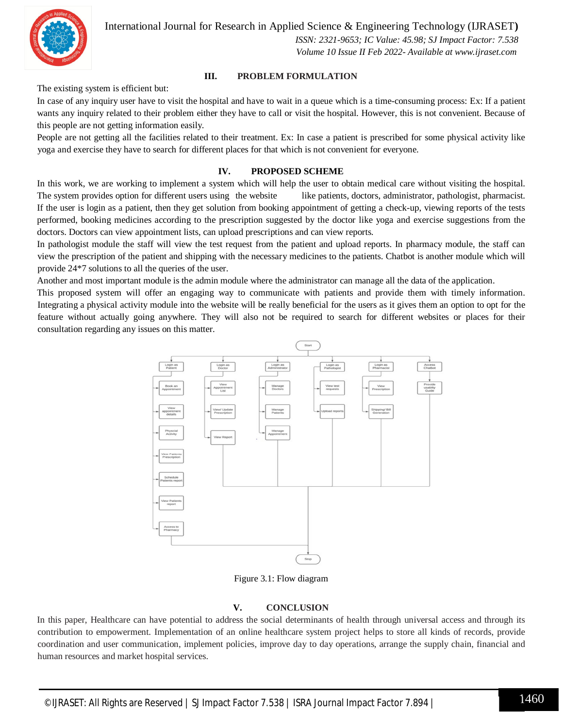International Journal for Research in Applied Science & Engineering Technology (IJRASET**)**



 *ISSN: 2321-9653; IC Value: 45.98; SJ Impact Factor: 7.538 Volume 10 Issue II Feb 2022- Available at www.ijraset.com*

#### **III. PROBLEM FORMULATION**

The existing system is efficient but:

In case of any inquiry user have to visit the hospital and have to wait in a queue which is a time-consuming process: Ex: If a patient wants any inquiry related to their problem either they have to call or visit the hospital. However, this is not convenient. Because of this people are not getting information easily.

People are not getting all the facilities related to their treatment. Ex: In case a patient is prescribed for some physical activity like yoga and exercise they have to search for different places for that which is not convenient for everyone.

#### **IV. PROPOSED SCHEME**

In this work, we are working to implement a system which will help the user to obtain medical care without visiting the hospital. The system provides option for different users using the website like patients, doctors, administrator, pathologist, pharmacist. If the user is login as a patient, then they get solution from booking appointment of getting a check-up, viewing reports of the tests performed, booking medicines according to the prescription suggested by the doctor like yoga and exercise suggestions from the doctors. Doctors can view appointment lists, can upload prescriptions and can view reports.

In pathologist module the staff will view the test request from the patient and upload reports. In pharmacy module, the staff can view the prescription of the patient and shipping with the necessary medicines to the patients. Chatbot is another module which will provide 24\*7 solutions to all the queries of the user.

Another and most important module is the admin module where the administrator can manage all the data of the application.

This proposed system will offer an engaging way to communicate with patients and provide them with timely information. Integrating a physical activity module into the website will be really beneficial for the users as it gives them an option to opt for the feature without actually going anywhere. They will also not be required to search for different websites or places for their consultation regarding any issues on this matter.



Figure 3.1: Flow diagram

#### **V. CONCLUSION**

In this paper, Healthcare can have potential to address the social determinants of health through universal access and through its contribution to empowerment. Implementation of an online healthcare system project helps to store all kinds of records, provide coordination and user communication, implement policies, improve day to day operations, arrange the supply chain, financial and human resources and market hospital services.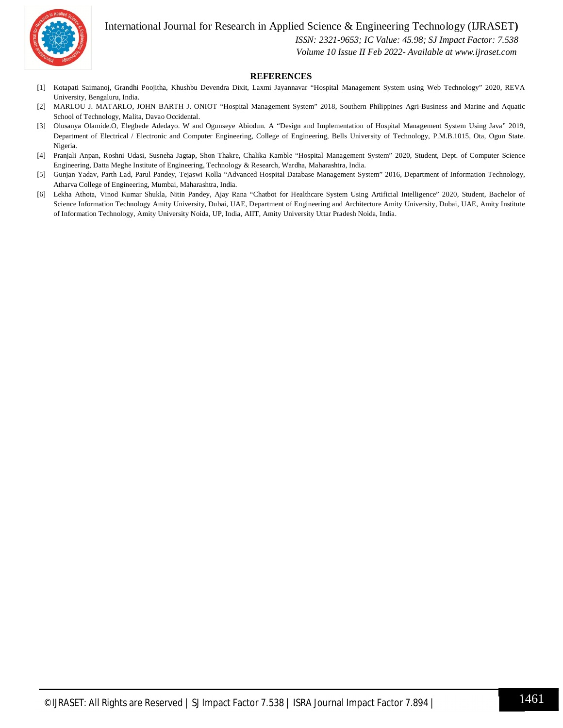



 *ISSN: 2321-9653; IC Value: 45.98; SJ Impact Factor: 7.538 Volume 10 Issue II Feb 2022- Available at www.ijraset.com*

#### **REFERENCES**

- [1] Kotapati Saimanoj, Grandhi Poojitha, Khushbu Devendra Dixit, Laxmi Jayannavar "Hospital Management System using Web Technology" 2020, REVA University, Bengaluru, India.
- [2] MARLOU J. MATARLO, JOHN BARTH J. ONIOT "Hospital Management System" 2018, Southern Philippines Agri-Business and Marine and Aquatic School of Technology, Malita, Davao Occidental.
- [3] Olusanya Olamide.O, Elegbede Adedayo. W and Ogunseye Abiodun. A "Design and Implementation of Hospital Management System Using Java" 2019, Department of Electrical / Electronic and Computer Engineering, College of Engineering, Bells University of Technology, P.M.B.1015, Ota, Ogun State. Nigeria.
- [4] Pranjali Anpan, Roshni Udasi, Susneha Jagtap, Shon Thakre, Chalika Kamble "Hospital Management System" 2020, Student, Dept. of Computer Science Engineering, Datta Meghe Institute of Engineering, Technology & Research, Wardha, Maharashtra, India.
- [5] Gunjan Yadav, Parth Lad, Parul Pandey, Tejaswi Kolla "Advanced Hospital Database Management System" 2016, Department of Information Technology, Atharva College of Engineering, Mumbai, Maharashtra, India.
- [6] Lekha Athota, Vinod Kumar Shukla, Nitin Pandey, Ajay Rana "Chatbot for Healthcare System Using Artificial Intelligence" 2020, Student, Bachelor of Science Information Technology Amity University, Dubai, UAE, Department of Engineering and Architecture Amity University, Dubai, UAE, Amity Institute of Information Technology, Amity University Noida, UP, India, AIIT, Amity University Uttar Pradesh Noida, India.